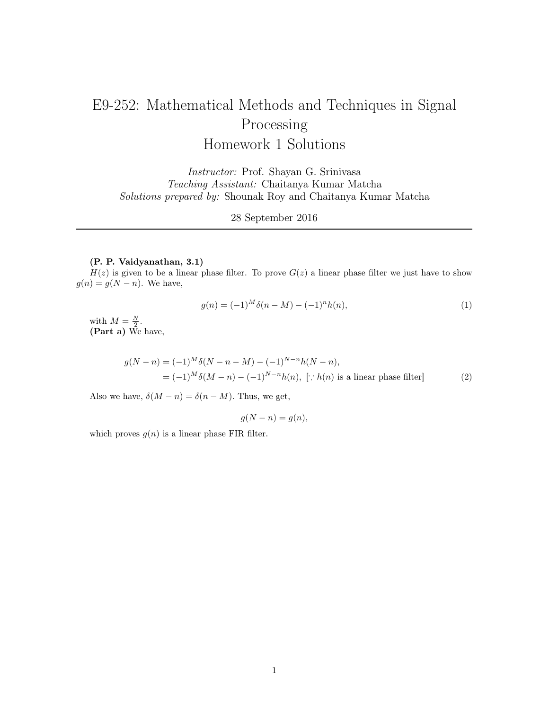# E9-252: Mathematical Methods and Techniques in Signal Processing Homework 1 Solutions

Instructor: Prof. Shayan G. Srinivasa Teaching Assistant: Chaitanya Kumar Matcha Solutions prepared by: Shounak Roy and Chaitanya Kumar Matcha

28 September 2016

# (P. P. Vaidyanathan, 3.1)

 $H(z)$  is given to be a linear phase filter. To prove  $G(z)$  a linear phase filter we just have to show  $g(n) = g(N - n)$ . We have,

$$
g(n) = (-1)^M \delta(n - M) - (-1)^n h(n), \tag{1}
$$

with  $M=\frac{N}{2}$ . (Part a) We have,

$$
g(N - n) = (-1)^M \delta(N - n - M) - (-1)^{N - n} h(N - n),
$$
  
=  $(-1)^M \delta(M - n) - (-1)^{N - n} h(n), \quad [\because h(n) \text{ is a linear phase filter}]$  (2)

Also we have,  $\delta(M - n) = \delta(n - M)$ . Thus, we get,

$$
g(N - n) = g(n),
$$

which proves  $g(n)$  is a linear phase FIR filter.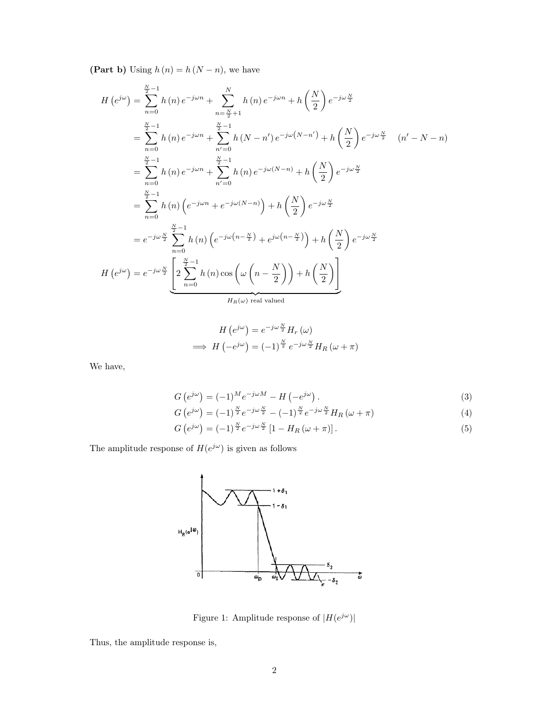(Part b) Using  $h(n) = h(N - n)$ , we have

$$
H(e^{j\omega}) = \sum_{n=0}^{\frac{N}{2}-1} h(n) e^{-j\omega n} + \sum_{n=\frac{N}{2}+1}^{N} h(n) e^{-j\omega n} + h\left(\frac{N}{2}\right) e^{-j\omega \frac{N}{2}}
$$
  
\n
$$
= \sum_{n=0}^{\frac{N}{2}-1} h(n) e^{-j\omega n} + \sum_{n'=0}^{\frac{N}{2}-1} h(N-n') e^{-j\omega (N-n')} + h\left(\frac{N}{2}\right) e^{-j\omega \frac{N}{2}} \quad (n'-N-n)
$$
  
\n
$$
= \sum_{n=0}^{\frac{N}{2}-1} h(n) e^{-j\omega n} + \sum_{n'=0}^{\frac{N}{2}-1} h(n) e^{-j\omega (N-n)} + h\left(\frac{N}{2}\right) e^{-j\omega \frac{N}{2}}
$$
  
\n
$$
= \sum_{n=0}^{\frac{N}{2}-1} h(n) \left(e^{-j\omega n} + e^{-j\omega (N-n)}\right) + h\left(\frac{N}{2}\right) e^{-j\omega \frac{N}{2}}
$$
  
\n
$$
= e^{-j\omega \frac{N}{2}} \sum_{n=0}^{\frac{N}{2}-1} h(n) \left(e^{-j\omega (n-\frac{N}{2})} + e^{j\omega (n-\frac{N}{2})}\right) + h\left(\frac{N}{2}\right) e^{-j\omega \frac{N}{2}}
$$
  
\n
$$
H(e^{j\omega}) = e^{-j\omega \frac{N}{2}} \underbrace{\left[2\sum_{n=0}^{\frac{N}{2}-1} h(n) \cos\left(\omega \left(n-\frac{N}{2}\right)\right) + h\left(\frac{N}{2}\right)\right]}_{H_R(\omega) \text{ real valued}}
$$

$$
H\left(e^{j\omega}\right) = e^{-j\omega\frac{N}{2}} H_r\left(\omega\right)
$$

$$
\implies H\left(-e^{j\omega}\right) = (-1)^{\frac{N}{2}} e^{-j\omega\frac{N}{2}} H_R\left(\omega + \pi\right)
$$

We have,

$$
G\left(e^{j\omega}\right) = (-1)^M e^{-j\omega M} - H\left(-e^{j\omega}\right). \tag{3}
$$

$$
G\left(e^{j\omega}\right) = (-1)^{\frac{N}{2}}e^{-j\omega\frac{N}{2}} - (-1)^{\frac{N}{2}}e^{-j\omega\frac{N}{2}}H_R\left(\omega + \pi\right)
$$
\n
$$
\tag{4}
$$

$$
G\left(e^{j\omega}\right) = (-1)^{\frac{N}{2}}e^{-j\omega\frac{N}{2}}\left[1 - H_R\left(\omega + \pi\right)\right].\tag{5}
$$

The amplitude response of  $H(e^{j\omega})$  is given as follows



Figure 1: Amplitude response of  $|H(e^{j\omega})|$ 

Thus, the amplitude response is,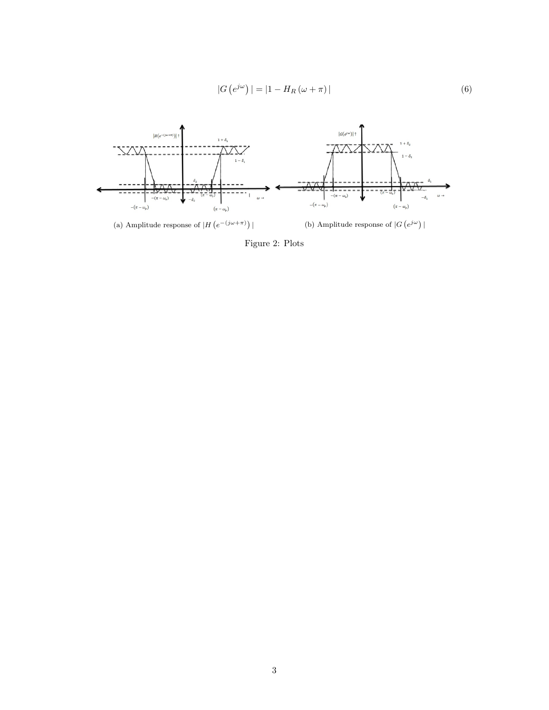$$
|G\left(e^{j\omega}\right)| = |1 - H_R\left(\omega + \pi\right)|\tag{6}
$$



Figure 2: Plots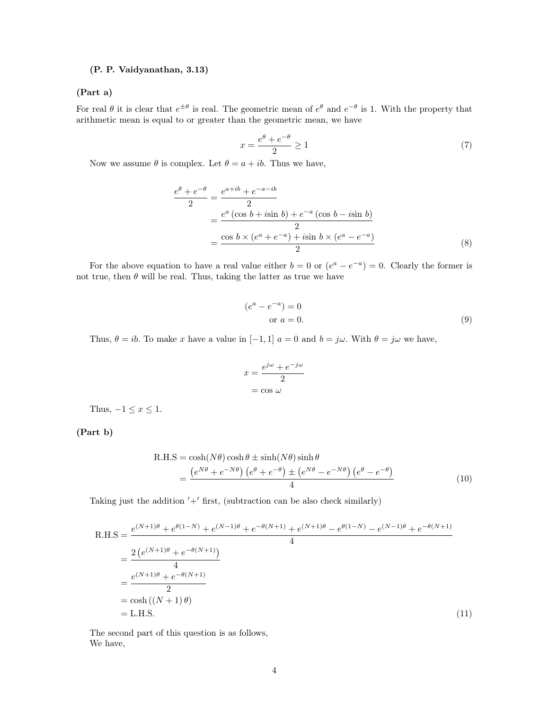# (P. P. Vaidyanathan, 3.13)

#### (Part a)

For real  $\theta$  it is clear that  $e^{\pm \theta}$  is real. The geometric mean of  $e^{\theta}$  and  $e^{-\theta}$  is 1. With the property that arithmetic mean is equal to or greater than the geometric mean, we have

$$
x = \frac{e^{\theta} + e^{-\theta}}{2} \ge 1\tag{7}
$$

Now we assume  $\theta$  is complex. Let  $\theta = a + ib$ . Thus we have,

$$
\frac{e^{\theta} + e^{-\theta}}{2} = \frac{e^{a+ib} + e^{-a-ib}}{2}
$$
  
= 
$$
\frac{e^{a} (\cos b + i \sin b) + e^{-a} (\cos b - i \sin b)}{2}
$$
  
= 
$$
\frac{\cos b \times (e^{a} + e^{-a}) + i \sin b \times (e^{a} - e^{-a})}{2}
$$
(8)

For the above equation to have a real value either  $b = 0$  or  $(e^a - e^{-a}) = 0$ . Clearly the former is not true, then  $\theta$  will be real. Thus, taking the latter as true we have

$$
(ea - e-a) = 0
$$
  
or  $a = 0$ . (9)

Thus,  $\theta = ib$ . To make x have a value in [−1, 1]  $a = 0$  and  $b = j\omega$ . With  $\theta = j\omega$  we have,

$$
x = \frac{e^{j\omega} + e^{-j\omega}}{2}
$$

$$
= \cos \omega
$$

Thus,  $-1 \leq x \leq 1$ .

(Part b)

$$
R.H.S = \cosh(N\theta)\cosh\theta \pm \sinh(N\theta)\sinh\theta
$$
  
= 
$$
\frac{(e^{N\theta} + e^{-N\theta})(e^{\theta} + e^{-\theta}) \pm (e^{N\theta} - e^{-N\theta})(e^{\theta} - e^{-\theta})}{4}
$$
 (10)

Taking just the addition  $'+$  first, (subtraction can be also check similarly)

$$
R.H.S = \frac{e^{(N+1)\theta} + e^{\theta(1-N)} + e^{(N-1)\theta} + e^{-\theta(N+1)} + e^{(N+1)\theta} - e^{\theta(1-N)} - e^{(N-1)\theta} + e^{-\theta(N+1)}}{4}
$$
  
= 
$$
\frac{2(e^{(N+1)\theta} + e^{-\theta(N+1)})}{4}
$$
  
= 
$$
\frac{e^{(N+1)\theta} + e^{-\theta(N+1)}}{2}
$$
  
= 
$$
\cosh((N+1)\theta)
$$
  
= L.H.S. (11)

The second part of this question is as follows, We have,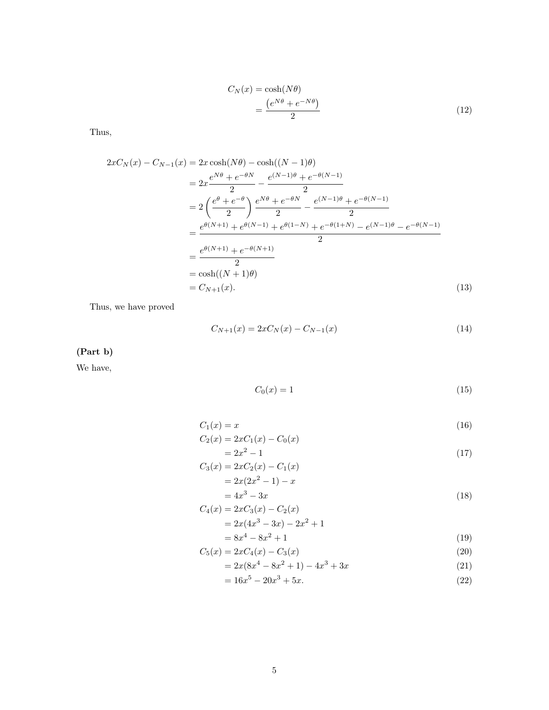$$
C_N(x) = \cosh(N\theta)
$$
  
= 
$$
\frac{(e^{N\theta} + e^{-N\theta})}{2}
$$
 (12)

Thus,

$$
2xC_N(x) - C_{N-1}(x) = 2x \cosh(N\theta) - \cosh((N-1)\theta)
$$
  
=  $2x \frac{e^{N\theta} + e^{-\theta N}}{2} - \frac{e^{(N-1)\theta} + e^{-\theta(N-1)}}{2}$   
=  $2\left(\frac{e^{\theta} + e^{-\theta}}{2}\right) \frac{e^{N\theta} + e^{-\theta N}}{2} - \frac{e^{(N-1)\theta} + e^{-\theta(N-1)}}{2}$   
=  $\frac{e^{\theta(N+1)} + e^{\theta(N-1)} + e^{\theta(1-N)} + e^{-\theta(1+N)} - e^{(N-1)\theta} - e^{-\theta(N-1)}}{2}$   
=  $\frac{e^{\theta(N+1)} + e^{-\theta(N+1)}}{2}$   
=  $\cosh((N+1)\theta)$   
=  $C_{N+1}(x)$ . (13)

Thus, we have proved

$$
C_{N+1}(x) = 2xC_N(x) - C_{N-1}(x)
$$
\n(14)

(Part b)

We have,

$$
C_0(x) = 1\tag{15}
$$

$$
C_1(x) = x
$$
  
\n
$$
C_2(x) = 2xC_1(x) - C_0(x)
$$
\n(16)

$$
= 2x^2 - 1
$$
 (17)

$$
C_3(x) = 2xC_2(x) - C_1(x)
$$
  
=  $2x(2x^2 - 1) - x$  (10)

$$
= 4x3 - 3x
$$
  
\n
$$
C_4(x) = 2xC_3(x) - C_2(x)
$$
\n(18)

$$
= 2x(4x3 - 3x) - 2x2 + 1
$$
  
= 8x<sup>4</sup> - 8x<sup>2</sup> + 1 (19)

$$
C_5(x) = 2xC_4(x) - C_3(x)
$$
\n(20)

$$
= 2x(8x4 - 8x2 + 1) - 4x3 + 3x
$$
 (21)

$$
= 16x^5 - 20x^3 + 5x.\tag{22}
$$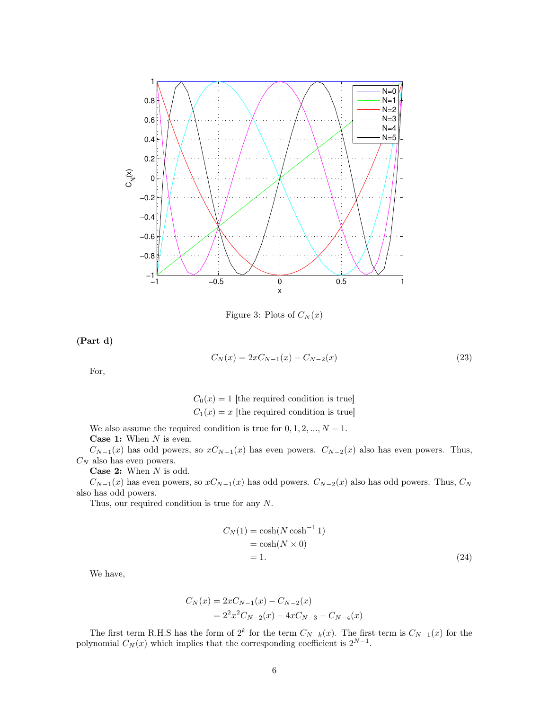

Figure 3: Plots of  $C_N(x)$ 

(Part d)

$$
C_N(x) = 2xC_{N-1}(x) - C_{N-2}(x)
$$
\n(23)

For,

 $C_0(x) = 1$  [the required condition is true]  $C_1(x) = x$  [the required condition is true]

We also assume the required condition is true for  $0, 1, 2, ..., N - 1$ . **Case 1:** When  $N$  is even.

 $C_{N-1}(x)$  has odd powers, so  $xC_{N-1}(x)$  has even powers.  $C_{N-2}(x)$  also has even powers. Thus,  $C_N$  also has even powers.

**Case 2:** When  $N$  is odd.

 $C_{N-1}(x)$  has even powers, so  $xC_{N-1}(x)$  has odd powers.  $C_{N-2}(x)$  also has odd powers. Thus,  $C_N$ also has odd powers.

Thus, our required condition is true for any N.

$$
C_N(1) = \cosh(N \cosh^{-1} 1)
$$
  
=  $\cosh(N \times 0)$   
= 1. (24)

We have,

$$
C_N(x) = 2xC_{N-1}(x) - C_{N-2}(x)
$$
  
=  $2^2x^2C_{N-2}(x) - 4xC_{N-3} - C_{N-4}(x)$ 

The first term R.H.S has the form of 2<sup>k</sup> for the term  $C_{N-k}(x)$ . The first term is  $C_{N-1}(x)$  for the polynomial  $C_N(x)$  which implies that the corresponding coefficient is  $2^{N-1}$ .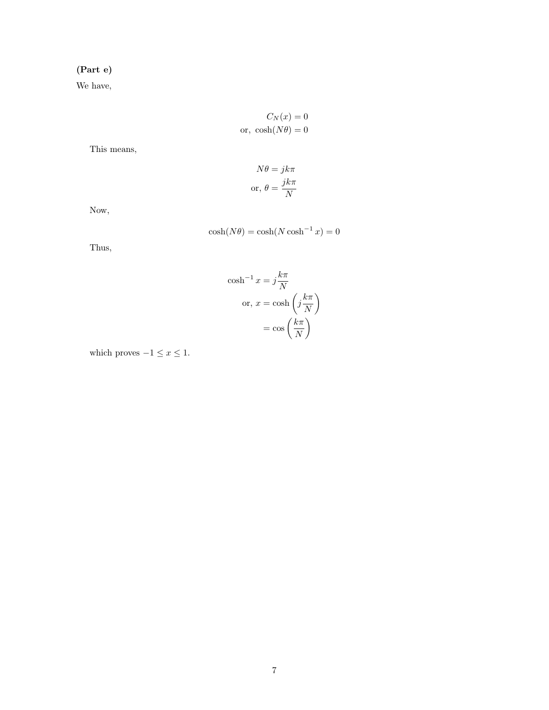# (Part e)

We have,

$$
C_N(x) = 0
$$
  
or,  $\cosh(N\theta) = 0$ 

This means,

$$
N\theta = jk\pi
$$
  
or, 
$$
\theta = \frac{jk\pi}{N}
$$

Now,

$$
\cosh(N\theta) = \cosh(N\cosh^{-1}x) = 0
$$

N or,  $x = \cosh\left(j\frac{k\pi}{N}\right)$ 

> $=\cos\left(\frac{k\pi}{N}\right)$ N  $\setminus$

N  $\setminus$ 

 $\cosh^{-1} x = j\frac{k\pi}{N}$ 

Thus,

which proves 
$$
-1 \le x \le 1
$$
.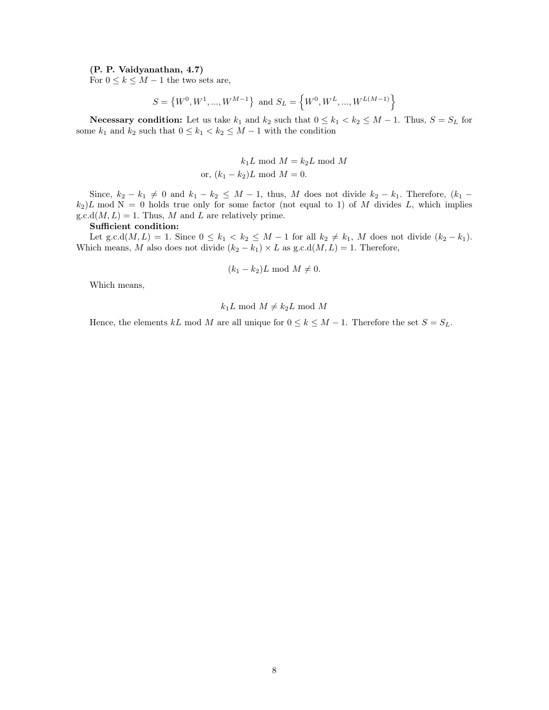## (P. P. Vaidyanathan, 4.7)

For  $0 \leq k \leq M-1$  the two sets are,

$$
S = \left\{W^{0}, W^{1}, ..., W^{M-1}\right\} \text{ and } S_{L} = \left\{W^{0}, W^{L}, ..., W^{L(M-1)}\right\}
$$

Necessary condition: Let us take  $k_1$  and  $k_2$  such that  $0 \le k_1 < k_2 \le M - 1$ . Thus,  $S = S_L$  for some  $k_1$  and  $k_2$  such that  $0 \leq k_1 < k_2 \leq M-1$  with the condition

$$
k_1L \mod M = k_2L \mod M
$$
  
or,  $(k_1 - k_2)L \mod M = 0$ .

Since,  $k_2 - k_1 \neq 0$  and  $k_1 - k_2 \leq M - 1$ , thus, M does not divide  $k_2 - k_1$ . Therefore,  $(k_1$  $k_2$ )L mod N = 0 holds true only for some factor (not equal to 1) of M divides L, which implies  $g.c.d(M, L) = 1$ . Thus, M and L are relatively prime.

#### Sufficient condition:

Let g.c.d( $M, L$ ) = 1. Since  $0 \leq k_1 < k_2 \leq M - 1$  for all  $k_2 \neq k_1$ , M does not divide  $(k_2 - k_1)$ . Which means, M also does not divide  $(k_2 - k_1) \times L$  as  $g.c.d(M, L) = 1$ . Therefore,

$$
(k_1 - k_2)L \bmod M \neq 0.
$$

Which means,

$$
k_1L \bmod M \neq k_2L \bmod M
$$

Hence, the elements kL mod M are all unique for  $0 \le k \le M - 1$ . Therefore the set  $S = S_L$ .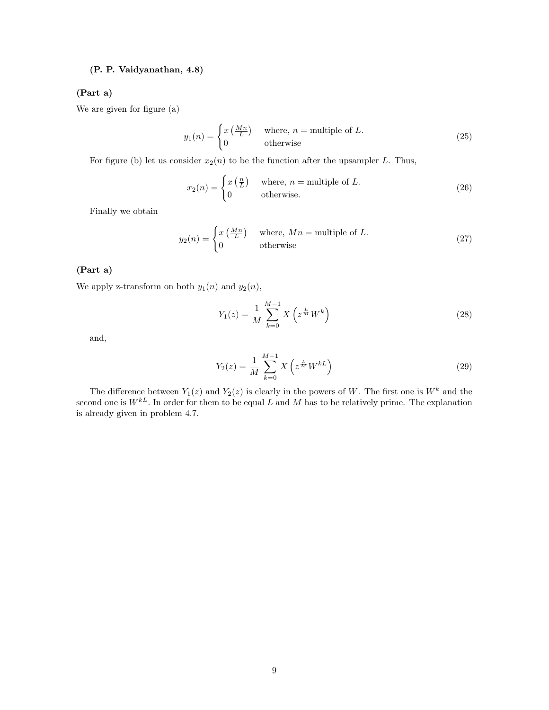# (P. P. Vaidyanathan, 4.8)

#### (Part a)

We are given for figure (a)

$$
y_1(n) = \begin{cases} x\left(\frac{Mn}{L}\right) & \text{where, } n = \text{multiple of } L. \\ 0 & \text{otherwise} \end{cases}
$$
 (25)

For figure (b) let us consider  $x_2(n)$  to be the function after the upsampler L. Thus,

$$
x_2(n) = \begin{cases} x\left(\frac{n}{L}\right) & \text{where, } n = \text{multiple of } L. \\ 0 & \text{otherwise.} \end{cases}
$$
 (26)

Finally we obtain

$$
y_2(n) = \begin{cases} x\left(\frac{Mn}{L}\right) & \text{where, } Mn = \text{multiple of } L. \\ 0 & \text{otherwise} \end{cases}
$$
 (27)

#### (Part a)

We apply z-transform on both  $y_1(n)$  and  $y_2(n)$ ,

$$
Y_1(z) = \frac{1}{M} \sum_{k=0}^{M-1} X\left(z^{\frac{L}{M}} W^k\right)
$$
 (28)

and,

$$
Y_2(z) = \frac{1}{M} \sum_{k=0}^{M-1} X\left(z^{\frac{L}{M}} W^{kL}\right)
$$
 (29)

The difference between  $Y_1(z)$  and  $Y_2(z)$  is clearly in the powers of W. The first one is  $W^k$  and the second one is  $W^{kL}$ . In order for them to be equal L and M has to be relatively prime. The explanation is already given in problem 4.7.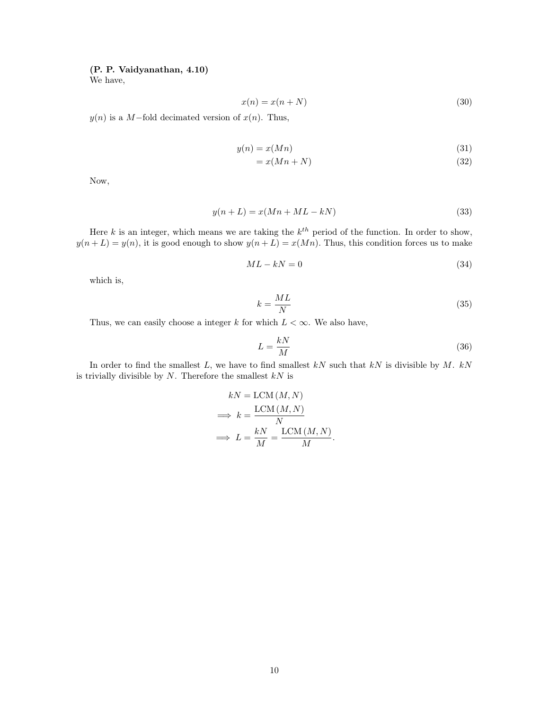## (P. P. Vaidyanathan, 4.10)

We have,

$$
x(n) = x(n+N) \tag{30}
$$

 $y(n)$  is a M-fold decimated version of  $x(n)$ . Thus,

$$
y(n) = x(Mn) \tag{31}
$$

$$
=x(Mn+N)\tag{32}
$$

Now,

$$
y(n+L) = x(Mn+ML-kN)
$$
\n(33)

Here k is an integer, which means we are taking the  $k^{th}$  period of the function. In order to show,  $y(n+L) = y(n)$ , it is good enough to show  $y(n+L) = x(Mn)$ . Thus, this condition forces us to make

$$
ML - kN = 0 \tag{34}
$$

which is,

$$
k = \frac{ML}{N} \tag{35}
$$

Thus, we can easily choose a integer k for which  $L < \infty$ . We also have,

$$
L = \frac{kN}{M} \tag{36}
$$

.

In order to find the smallest  $L$ , we have to find smallest  $kN$  such that  $kN$  is divisible by  $M$ .  $kN$ is trivially divisible by  $N$ . Therefore the smallest  $kN$  is

$$
kN = \text{LCM} (M, N)
$$

$$
\implies k = \frac{\text{LCM} (M, N)}{N}
$$

$$
\implies L = \frac{kN}{M} = \frac{\text{LCM} (M, N)}{M}
$$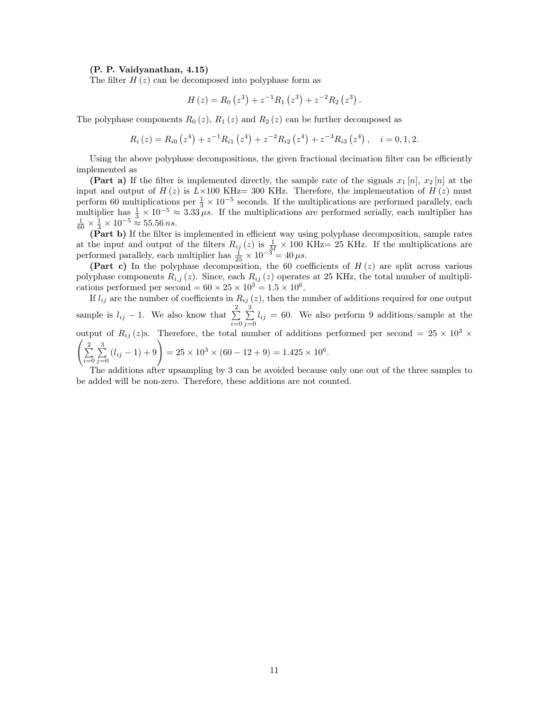#### (P. P. Vaidyanathan, 4.15)

The filter  $H(z)$  can be decomposed into polyphase form as

$$
H(z) = R_0 (z^3) + z^{-1} R_1 (z^3) + z^{-2} R_2 (z^3).
$$

The polyphase components  $R_0(z)$ ,  $R_1(z)$  and  $R_2(z)$  can be further decomposed as

$$
R_i(z) = R_{i0}(z^4) + z^{-1}R_{i1}(z^4) + z^{-2}R_{i2}(z^4) + z^{-3}R_{i3}(z^4), \quad i = 0, 1, 2.
$$

Using the above polyphase decompositions, the given fractional decimation filter can be efficiently implemented as

(Part a) If the filter is implemented directly, the sample rate of the signals  $x_1[n], x_2[n]$  at the input and output of  $H(z)$  is  $L\times100$  KHz= 300 KHz. Therefore, the implementation of  $H(z)$  must perform 60 multiplications per  $\frac{1}{3} \times 10^{-5}$  seconds. If the multiplications are performed parallely, each  $\frac{1}{3} \times 10^{-5}$  seconds. If the multiplications are performed parallely, each multiplier has  $\frac{1}{3} \times 10^{-5} \approx 3.33 \mu s$ . If the multiplications are performed serially, each multiplier has  $\frac{1}{60} \times \frac{1}{3} \times 10^{-5} \approx 55.56 \text{ ns}$ .

(Part b) If the filter is implemented in efficient way using polyphase decomposition, sample rates at the input and output of the filters  $R_{ij}(z)$  is  $\frac{1}{M} \times 100$  KHz= 25 KHz. If the multiplications are performed parallely, each multiplier has  $\frac{1}{25} \times 10^{-3} = 40 \,\mu s$ .

(Part c) In the polyphase decomposition, the 60 coefficients of  $H(z)$  are split across various polyphase components  $R_{i,j}(z)$ . Since, each  $R_{ij}(z)$  operates at 25 KHz, the total number of multiplications performed per second =  $60 \times 25 \times 10^3 = 1.5 \times 10^6$ .

If  $l_{ij}$  are the number of coefficients in  $R_{ij}(z)$ , then the number of additions required for one output sample is  $l_{ij} - 1$ . We also know that  $\sum_{i=1}^{2}$  $i=0$  $\sum_{ }^{3}$  $\sum_{j=0} l_{ij} = 60$ . We also perform 9 additions/sample at the output of  $R_{ij} (z)$ s. Therefore, the total number of additions performed per second = 25 × 10<sup>3</sup> ×  $\sqrt{ }$  $\sum_{ }^{2}$  $i=0$  $\sum_{ }^{3}$  $\sum_{j=0}^{3} (l_{ij} - 1) + 9$  = 25 × 10<sup>3</sup> × (60 - 12 + 9) = 1.425 × 10<sup>6</sup>.

The additions after upsampling by 3 can be avoided because only one out of the three samples to be added will be non-zero. Therefore, these additions are not counted.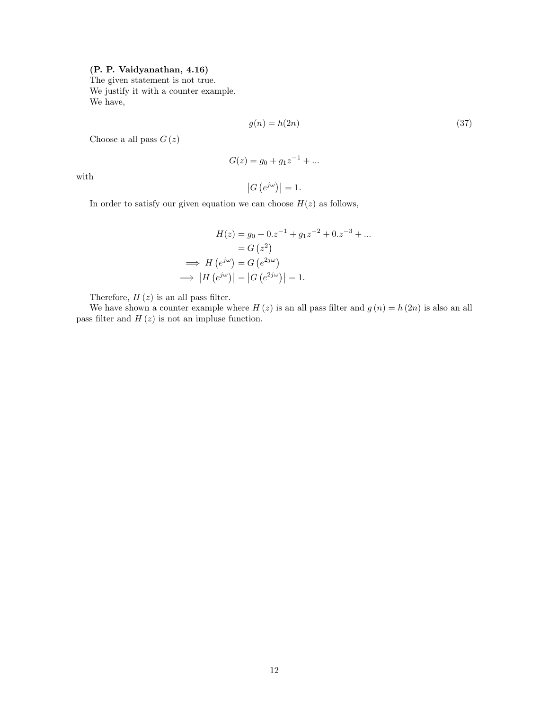# (P. P. Vaidyanathan, 4.16)

The given statement is not true. We justify it with a counter example. We have,

$$
g(n) = h(2n) \tag{37}
$$

Choose a all pass  $G(z)$ 

$$
G(z) = g_0 + g_1 z^{-1} + \dots
$$

with

$$
\left|G\left(e^{j\omega}\right)\right|=1.
$$

In order to satisfy our given equation we can choose  $H(z)$  as follows,

$$
H(z) = g_0 + 0. z^{-1} + g_1 z^{-2} + 0. z^{-3} + \dots
$$

$$
= G(z^2)
$$

$$
\implies H(e^{j\omega}) = G(e^{2j\omega})
$$

$$
\implies |H(e^{j\omega})| = |G(e^{2j\omega})| = 1.
$$

Therefore,  $H(z)$  is an all pass filter.

We have shown a counter example where  $H(z)$  is an all pass filter and  $g(n) = h(2n)$  is also an all pass filter and  $H(z)$  is not an impluse function.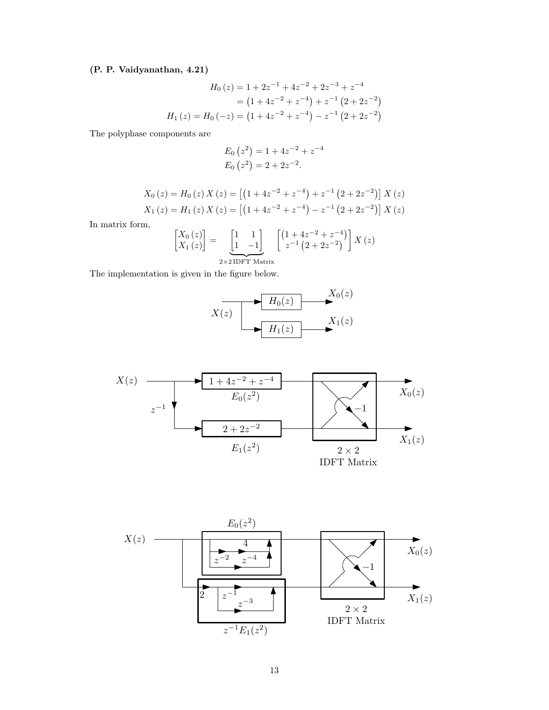# (P. P. Vaidyanathan, 4.21)

$$
H_0(z) = 1 + 2z^{-1} + 4z^{-2} + 2z^{-3} + z^{-4}
$$
  
=  $(1 + 4z^{-2} + z^{-4}) + z^{-1} (2 + 2z^{-2})$   

$$
H_1(z) = H_0(-z) = (1 + 4z^{-2} + z^{-4}) - z^{-1} (2 + 2z^{-2})
$$

The polyphase components are

$$
E_0(z^2) = 1 + 4z^{-2} + z^{-4}
$$
  
\n
$$
E_0(z^2) = 2 + 2z^{-2}.
$$

$$
X_0(z) = H_0(z) X(z) = [(1 + 4z^{-2} + z^{-4}) + z^{-1} (2 + 2z^{-2})] X(z)
$$
  
\n
$$
X_1(z) = H_1(z) X(z) = [(1 + 4z^{-2} + z^{-4}) - z^{-1} (2 + 2z^{-2})] X(z)
$$

In matrix form,

$$
\begin{bmatrix} X_0(z) \\ X_1(z) \end{bmatrix} = \underbrace{\begin{bmatrix} 1 & 1 \\ 1 & -1 \end{bmatrix}}_{2 \times 2 \text{ IDFT Matrix}} \begin{bmatrix} \left(1 + 4z^{-2} + z^{-4}\right) \\ z^{-1} \left(2 + 2z^{-2}\right) \end{bmatrix} X(z)
$$

The implementation is given in the figure below.





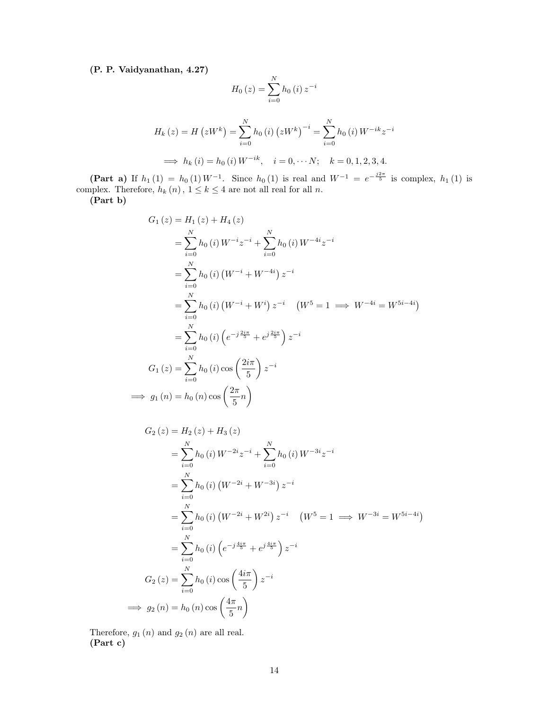(P. P. Vaidyanathan, 4.27)

$$
H_0(z) = \sum_{i=0}^{N} h_0(i) z^{-i}
$$
  
\n
$$
H_k(z) = H(zW^k) = \sum_{i=0}^{N} h_0(i) (zW^k)^{-i} = \sum_{i=0}^{N} h_0(i) W^{-ik} z^{-i}
$$
  
\n
$$
\implies h_k(i) = h_0(i) W^{-ik}, \quad i = 0, \dots N; \quad k = 0, 1, 2, 3, 4.
$$

(Part a) If  $h_1(1) = h_0(1) W^{-1}$ . Since  $h_0(1)$  is real and  $W^{-1} = e^{-\frac{j2\pi}{5}}$  is complex,  $h_1(1)$  is complex. Therefore,  $h_k(n)$ ,  $1 \leq k \leq 4$  are not all real for all n.

(Part b)

$$
G_{1}(z) = H_{1}(z) + H_{4}(z)
$$
\n
$$
= \sum_{i=0}^{N} h_{0}(i) W^{-i} z^{-i} + \sum_{i=0}^{N} h_{0}(i) W^{-4i} z^{-i}
$$
\n
$$
= \sum_{i=0}^{N} h_{0}(i) (W^{-i} + W^{-4i}) z^{-i}
$$
\n
$$
= \sum_{i=0}^{N} h_{0}(i) (W^{-i} + W^{i}) z^{-i} (W^{5} = 1 \implies W^{-4i} = W^{5i-4i})
$$
\n
$$
= \sum_{i=0}^{N} h_{0}(i) (e^{-j\frac{2i\pi}{5}} + e^{j\frac{2i\pi}{5}}) z^{-i}
$$
\n
$$
G_{1}(z) = \sum_{i=0}^{N} h_{0}(i) \cos\left(\frac{2i\pi}{5}\right) z^{-i}
$$
\n
$$
\implies g_{1}(n) = h_{0}(n) \cos\left(\frac{2\pi}{5}n\right)
$$

$$
G_{2}(z) = H_{2}(z) + H_{3}(z)
$$
  
\n
$$
= \sum_{i=0}^{N} h_{0}(i) W^{-2i} z^{-i} + \sum_{i=0}^{N} h_{0}(i) W^{-3i} z^{-i}
$$
  
\n
$$
= \sum_{i=0}^{N} h_{0}(i) (W^{-2i} + W^{-3i}) z^{-i}
$$
  
\n
$$
= \sum_{i=0}^{N} h_{0}(i) (W^{-2i} + W^{2i}) z^{-i} (W^{5} = 1 \implies W^{-3i} = W^{5i-4i})
$$
  
\n
$$
= \sum_{i=0}^{N} h_{0}(i) (e^{-j\frac{4i\pi}{5}} + e^{j\frac{4i\pi}{5}}) z^{-i}
$$
  
\n
$$
G_{2}(z) = \sum_{i=0}^{N} h_{0}(i) \cos\left(\frac{4i\pi}{5}\right) z^{-i}
$$
  
\n
$$
\implies g_{2}(n) = h_{0}(n) \cos\left(\frac{4\pi}{5}n\right)
$$

Therefore,  $g_1(n)$  and  $g_2(n)$  are all real. (Part c)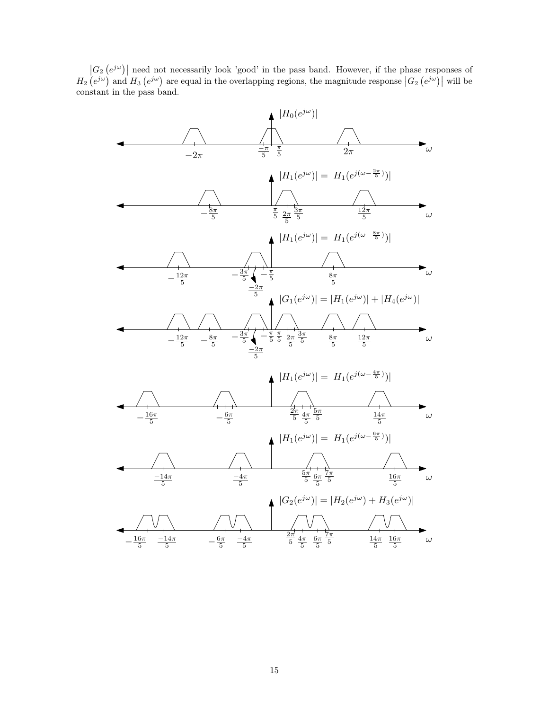$|G_2(e^{j\omega})|$  need not necessarily look 'good' in the pass band. However, if the phase responses of  $H_2\left(e^{j\omega}\right)$  and  $H_3\left(e^{j\omega}\right)$  are equal in the overlapping regions, the magnitude response  $\left|G_2\left(e^{j\omega}\right)\right|$  will be constant in the pass band.